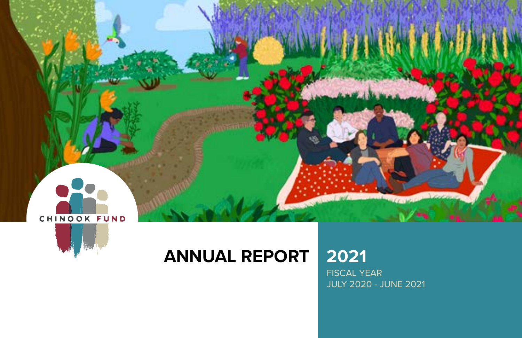



## **ANNUAL REPORT 2021**

FISCAL YEAR JULY 2020 - JUNE 2021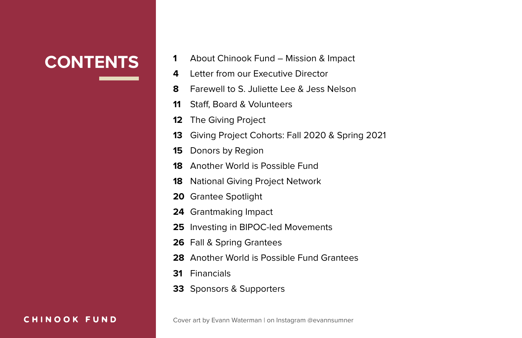- **CONTENTS** 1 About Chinook Fund – Mission & Impact
	- Letter from our Executive Director
	- Farewell to S. Juliette Lee & Jess Nelson
	- Staff, Board & Volunteers
	- The Giving Project
	- Giving Project Cohorts: Fall 2020 & Spring 2021
	- Donors by Region
	- Another World is Possible Fund
	- National Giving Project Network
	- Grantee Spotlight
	- Grantmaking Impact
	- Investing in BIPOC-led Movements
	- Fall & Spring Grantees
	- Another World is Possible Fund Grantees
	- Financials
	- Sponsors & Supporters

#### CHINOOK FUND

Cover art by Evann Waterman | on Instagram @evannsumner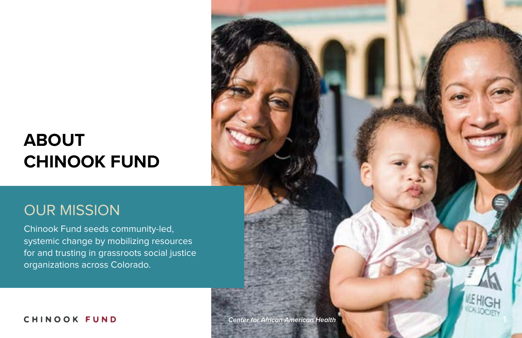## **ABOUT CHINOOK FUND**

## OUR MISSION

Chinook Fund seeds community-led, systemic change by mobilizing resources for and trusting in grassroots social justice organizations across Colorado.

*Center for African American Health* **1**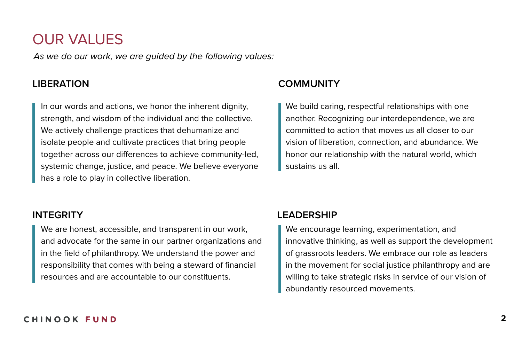## OUR VALUES

*As we do our work, we are guided by the following values:*

In our words and actions, we honor the inherent dignity, strength, and wisdom of the individual and the collective. We actively challenge practices that dehumanize and isolate people and cultivate practices that bring people together across our differences to achieve community-led, systemic change, justice, and peace. We believe everyone has a role to play in collective liberation.

## **LIBERATION COMMUNITY**

We build caring, respectful relationships with one another. Recognizing our interdependence, we are committed to action that moves us all closer to our vision of liberation, connection, and abundance. We honor our relationship with the natural world, which sustains us all.

We are honest, accessible, and transparent in our work, and advocate for the same in our partner organizations and in the field of philanthropy. We understand the power and responsibility that comes with being a steward of financial resources and are accountable to our constituents.

## **INTEGRITY LEADERSHIP**

We encourage learning, experimentation, and innovative thinking, as well as support the development of grassroots leaders. We embrace our role as leaders in the movement for social justice philanthropy and are willing to take strategic risks in service of our vision of abundantly resourced movements.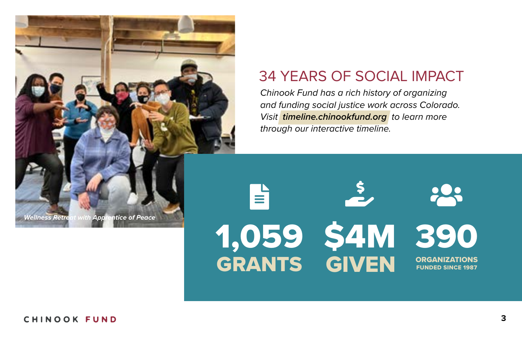

## 34 YEARS OF SOCIAL IMPACT

*Chinook Fund has a rich history of organizing and funding social justice work across Colorado. Visit timeline.chinookfund.org to learn more through our interactive timeline.*

## <u>ΙΞ</u> 1,059 GRANTS <u> $\geq$ </u> \$4M GIVEN 200 390 ORGANIZATIONS FUNDED SINCE 1987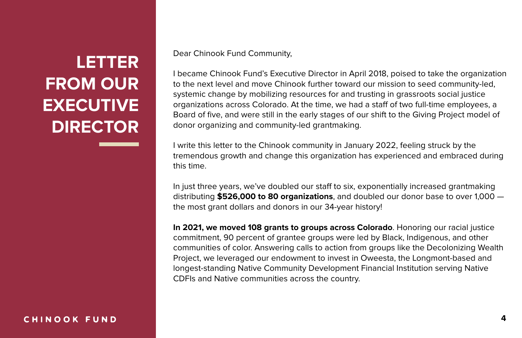CHINOOK FUND

Dear Chinook Fund Community,

I became Chinook Fund's Executive Director in April 2018, poised to take the organization to the next level and move Chinook further toward our mission to seed community-led, systemic change by mobilizing resources for and trusting in grassroots social justice organizations across Colorado. At the time, we had a staff of two full-time employees, a Board of five, and were still in the early stages of our shift to the Giving Project model of donor organizing and community-led grantmaking.

I write this letter to the Chinook community in January 2022, feeling struck by the tremendous growth and change this organization has experienced and embraced during this time.

In just three years, we've doubled our staff to six, exponentially increased grantmaking distributing **\$526,000 to 80 organizations**, and doubled our donor base to over 1,000 the most grant dollars and donors in our 34-year history!

**In 2021, we moved 108 grants to groups across Colorado**. Honoring our racial justice commitment, 90 percent of grantee groups were led by Black, Indigenous, and other communities of color. Answering calls to action from groups like the Decolonizing Wealth Project, we leveraged our endowment to invest in Oweesta, the Longmont-based and longest-standing Native Community Development Financial Institution serving Native CDFIs and Native communities across the country.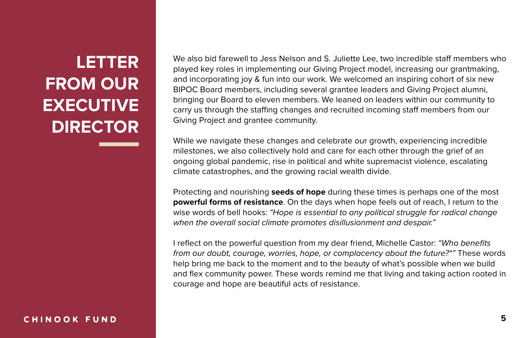We also bid farewell to Jess Nelson and S. Juliette Lee, two incredible staff members who played key roles in implementing our Giving Project model, increasing our grantmaking, and incorporating joy & fun into our work. We welcomed an inspiring cohort of six new BIPOC Board members, including several grantee leaders and Giving Project alumni, bringing our Board to eleven members. We leaned on leaders within our community to carry us through the staffing changes and recruited incoming staff members from our Giving Project and grantee community.

While we navigate these changes and celebrate our growth, experiencing incredible milestones, we also collectively hold and care for each other through the grief of an ongoing global pandemic, rise in political and white supremacist violence, escalating climate catastrophes, and the growing racial wealth divide.

Protecting and nourishing **seeds of hope** during these times is perhaps one of the most **powerful forms of resistance**. On the days when hope feels out of reach, I return to the wise words of bell hooks: *"Hope is essential to any political struggle for radical change when the overall social climate promotes disillusionment and despair."*

I reflect on the powerful question from my dear friend, Michelle Castor: *"Who benefits from our doubt, courage, worries, hope, or complacency about the future?\*"* These words help bring me back to the moment and to the beauty of what's possible when we build and flex community power. These words remind me that living and taking action rooted in courage and hope are beautiful acts of resistance.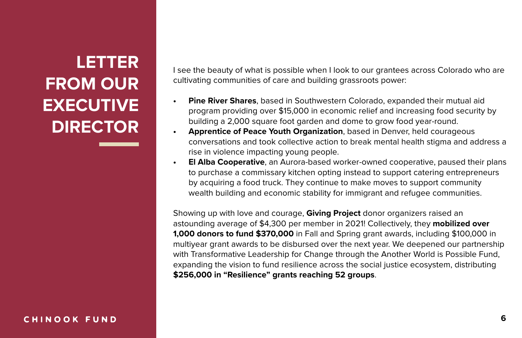I see the beauty of what is possible when I look to our grantees across Colorado who are cultivating communities of care and building grassroots power:

- **• Pine River Shares**, based in Southwestern Colorado, expanded their mutual aid program providing over \$15,000 in economic relief and increasing food security by building a 2,000 square foot garden and dome to grow food year-round.
- **• Apprentice of Peace Youth Organization**, based in Denver, held courageous conversations and took collective action to break mental health stigma and address a rise in violence impacting young people.
- **• El Alba Cooperative**, an Aurora-based worker-owned cooperative, paused their plans to purchase a commissary kitchen opting instead to support catering entrepreneurs by acquiring a food truck. They continue to make moves to support community wealth building and economic stability for immigrant and refugee communities.

Showing up with love and courage, **Giving Project** donor organizers raised an astounding average of \$4,300 per member in 2021! Collectively, they **mobilized over 1,000 donors to fund \$370,000** in Fall and Spring grant awards, including \$100,000 in multiyear grant awards to be disbursed over the next year. We deepened our partnership with Transformative Leadership for Change through the Another World is Possible Fund, expanding the vision to fund resilience across the social justice ecosystem, distributing **\$256,000 in "Resilience" grants reaching 52 groups**.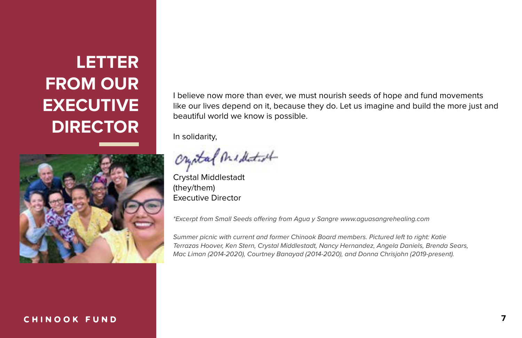

#### CHINOOK FUND

I believe now more than ever, we must nourish seeds of hope and fund movements like our lives depend on it, because they do. Let us imagine and build the more just and beautiful world we know is possible.

In solidarity,

Crystal Midletot

Crystal Middlestadt (they/them) Executive Director

*\*Excerpt from Small Seeds o*!*ering from Agua y Sangre www.aguasangrehealing.com*

*Summer picnic with current and former Chinook Board members. Pictured left to right: Katie Terrazas Hoover, Ken Stern, Crystal Middlestadt, Nancy Hernandez, Angela Daniels, Brenda Sears, Mac Liman (2014-2020), Courtney Banayad (2014-2020), and Donna Chrisjohn (2019-present).*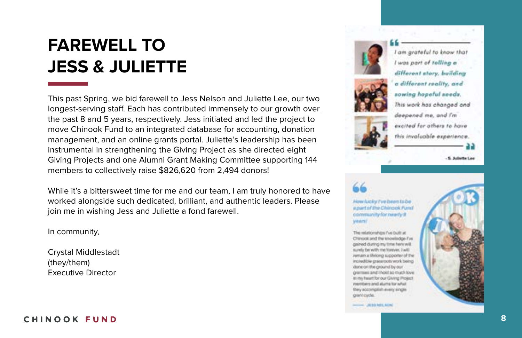# **FAREWELL TO JESS & JULIETTE**

This past Spring, we bid farewell to Jess Nelson and Juliette Lee, our two longest-serving staff. Each has contributed immensely to our growth over the past 8 and 5 years, respectively. Jess initiated and led the project to move Chinook Fund to an integrated database for accounting, donation management, and an online grants portal. Juliette's leadership has been instrumental in strengthening the Giving Project as she directed eight Giving Projects and one Alumni Grant Making Committee supporting 144 members to collectively raise \$826,620 from 2,494 donors!

While it's a bittersweet time for me and our team, I am truly honored to have worked alongside such dedicated, brilliant, and authentic leaders. Please join me in wishing Jess and Juliette a fond farewell.

In community,

Crystal Middlestadt (they/them) Executive Director

#### CHINOOK FUND





am grateful to know that I was part of telling a different story, building a different reality, and sowing hopeful seeds. This work has changed and deepened me, and I'm excited for athers to have this invaluable experience.

5. Juliette Lee

How lucky ('ve been to be a part of the Chinook Fund community for neerly it. **Vindora**<sup>[</sup>

The relationships the built at Chinook and the lookilladge Fue gained during my time here will surely be with me forever, I will remain a thriong supporter of the includible grassroots work being done on the ground by our greenwei and i hold to much love in my heart for our Glying Project members and alums for what they accomplish every single. grant cycle.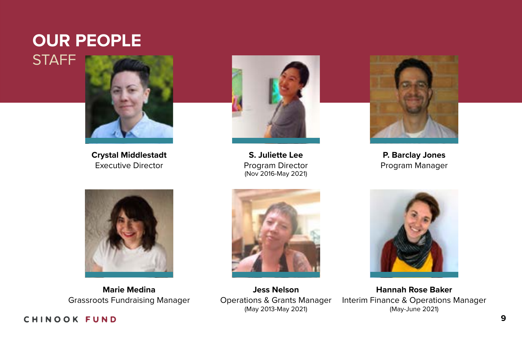## **OUR PEOPLE STAFF**



**Crystal Middlestadt** Executive Director



**S. Juliette Lee** Program Director (Nov 2016-May 2021)



**P. Barclay Jones** Program Manager



**Marie Medina**  Grassroots Fundraising Manager



**Jess Nelson** Operations & Grants Manager (May 2013-May 2021)



**Hannah Rose Baker** Interim Finance & Operations Manager (May-June 2021)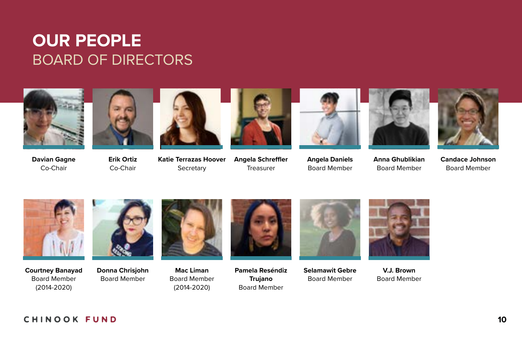## **OUR PEOPLE** BOARD OF DIRECTORS



**Davian Gagne** Co-Chair



**Erik Ortiz** Co-Chair



**Katie Terrazas Hoover Secretary** 



**Angela Schre!er** Treasurer





**Angela Daniels** Board Member

**Anna Ghublikian** Board Member



**Candace Johnson** Board Member



**Courtney Banayad** Board Member (2014-2020)



**Donna Chrisjohn** Board Member



**Mac Liman** Board Member (2014-2020)



**Pamela Reséndiz Trujano** Board Member



**Selamawit Gebre** Board Member



**V.J. Brown** Board Member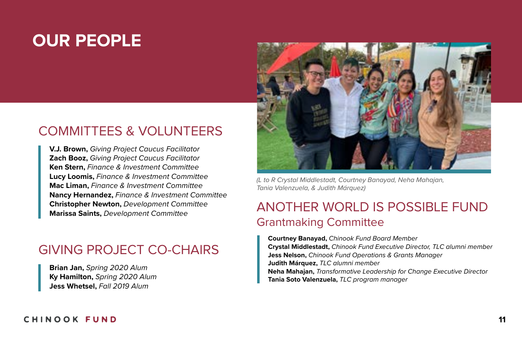## **OUR PEOPLE**

## COMMITTEES & VOLUNTEERS

**V.J. Brown,** *Giving Project Caucus Facilitator* **Zach Booz,** *Giving Project Caucus Facilitator* **Ken Stern,** *Finance & Investment Committee* **Lucy Loomis,** *Finance & Investment Committee* **Mac Liman,** *Finance & Investment Committee* **Nancy Hernandez,** *Finance & Investment Committee* **Christopher Newton,** *Development Committee* **Marissa Saints,** *Development Committee*

## GIVING PROJECT CO-CHAIRS

**Brian Jan,** *Spring 2020 Alum* **Ky Hamilton,** *Spring 2020 Alum* **Jess Whetsel,** *Fall 2019 Alum*



*(L to R Crystal Middlestadt, Courtney Banayad, Neha Mahajan, Tania Valenzuela, & Judith Márquez)*

## ANOTHER WORLD IS POSSIBLE FUND Grantmaking Committee

**Courtney Banayad,** *Chinook Fund Board Member* **Crystal Middlestadt,** *Chinook Fund Executive Director, TLC alumni member* **Jess Nelson,** *Chinook Fund Operations & Grants Manager* **Judith Márquez,** *TLC alumni member* **Neha Mahajan,** *Transformative Leadership for Change Executive Director* **Tania Soto Valenzuela,** *TLC program manager*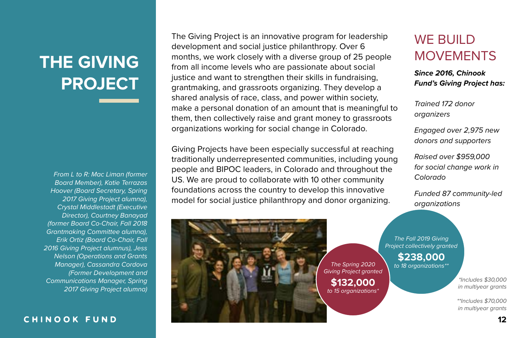## **THE GIVING PROJECT**

*From L to R: Mac Liman (former Board Member), Katie Terrazas Hoover (Board Secretary, Spring 2017 Giving Project alumna), Crystal Middlestadt (Executive Director), Courtney Banayad (former Board Co-Chair, Fall 2018 Grantmaking Committee alumna), Erik Ortiz (Board Co-Chair, Fall 2016 Giving Project alumnus), Jess Nelson (Operations and Grants Manager), Cassandra Cordova (Former Development and Communications Manager, Spring 2017 Giving Project alumna)*

#### CHINOOK FUND

The Giving Project is an innovative program for leadership development and social justice philanthropy. Over 6 months, we work closely with a diverse group of 25 people from all income levels who are passionate about social justice and want to strengthen their skills in fundraising, grantmaking, and grassroots organizing. They develop a shared analysis of race, class, and power within society, make a personal donation of an amount that is meaningful to them, then collectively raise and grant money to grassroots organizations working for social change in Colorado.

Giving Projects have been especially successful at reaching traditionally underrepresented communities, including young people and BIPOC leaders, in Colorado and throughout the US. We are proud to collaborate with 10 other community foundations across the country to develop this innovative model for social justice philanthropy and donor organizing.

## WE BUILD **MOVEMENTS**

*Since 2016, Chinook Fund's Giving Project has:*

*Trained 172 donor organizers*

*Engaged over 2,975 new donors and supporters*

*Raised over \$959,000 for social change work in Colorado*

*Funded 87 community-led organizations*

*The Fall 2019 Giving Project collectively granted*

> **\$238,000** *to 18 organizations\*\**

*Giving Project granted*  **\$132,000** *to 15 organizations\**

*The Spring 2020*

*\*Includes \$30,000 in multiyear grants*

*\*\*Includes \$70,000 in multiyear grants*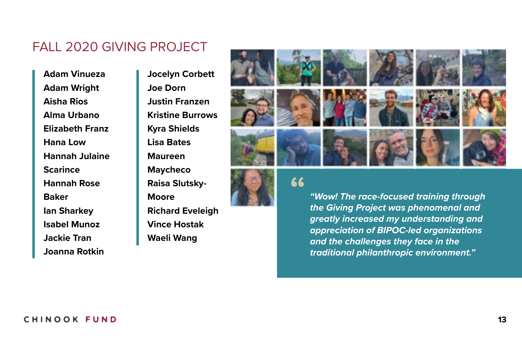## FALL 2020 GIVING PROJECT

**Adam Vinueza Adam Wright Aisha Rios Alma Urbano Elizabeth Franz Hana Low Hannah Julaine Scarince Hannah Rose Baker Ian Sharkey Isabel Munoz Jackie Tran Joanna Rotkin**

**Jocelyn Corbett Joe Dorn Justin Franzen Kristine Burrows Kyra Shields Lisa Bates Maureen Maycheco Raisa Slutsky-Moore Richard Eveleigh Vince Hostak Waeli Wang**



**"**



*"Wow! The race-focused training through the Giving Project was phenomenal and greatly increased my understanding and appreciation of BIPOC-led organizations and the challenges they face in the traditional philanthropic environment."*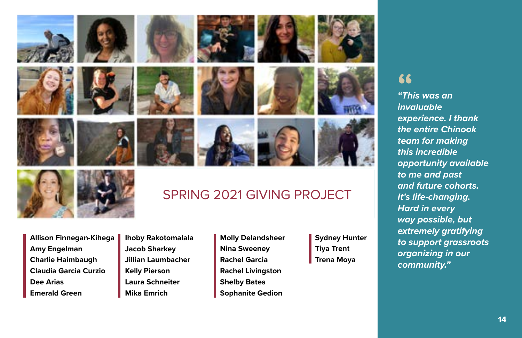



## SPRING 2021 GIVING PROJECT

- **Allison Finnegan-Kihega Amy Engelman Charlie Haimbaugh Claudia Garcia Curzio Dee Arias Emerald Green**
- **Ihoby Rakotomalala Jacob Sharkey Jillian Laumbacher Kelly Pierson Laura Schneiter Mika Emrich**
- **Molly Delandsheer Nina Sweeney Rachel Garcia Rachel Livingston Shelby Bates Sophanite Gedion**
- **Sydney Hunter Tiya Trent Trena Moya**

## **"**

*"This was an invaluable experience. I thank the entire Chinook team for making this incredible opportunity available to me and past and future cohorts. It's life-changing. Hard in every way possible, but extremely gratifying to support grassroots organizing in our community."*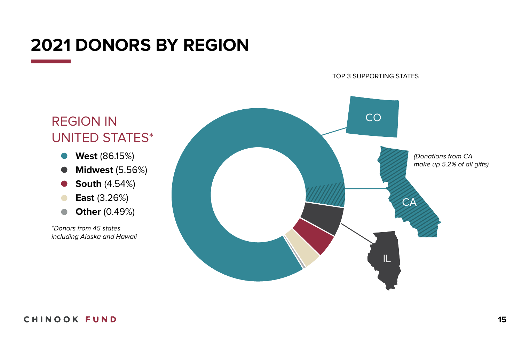## **2021 DONORS BY REGION**

TOP 3 SUPPORTING STATES



- **West** (86.15%)  $\bullet$
- **Midwest** (5.56%)  $\bullet$
- **South** (4.54%)  $\bullet$
- **East** (3.26%)  $\bullet$
- **Other** (0.49%)  $\bullet$

*\*Donors from 45 states including Alaska and Hawaii*

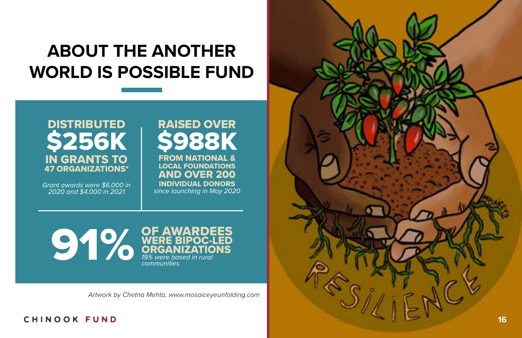## **ABOUT THE ANOTHER WORLD IS POSSIBLE FUND**



*Grant awards were \$6,000 in 2020 and \$4,000 in 2021*

## RAISED OVER \$988K FROM NATIONAL & LOCAL FOUNDATIONS AND OVER 200 INDIVIDUAL DONORS *since launching in May 2020*

91% WERE BIPOC-LED **ORGANIZATIONS** *19% were based in rural communities*

*Artwork by Chetna Mehta, www.mosaiceyeunfolding.com*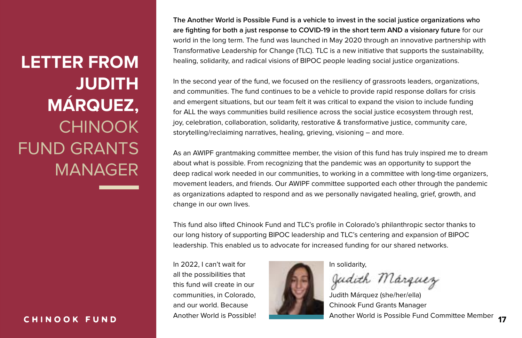**LETTER FROM JUDITH MÁRQUEZ,**  CHINOOK FUND GRANTS MANAGER

#### CHINOOK FUND

**The Another World is Possible Fund is a vehicle to invest in the social justice organizations who are fighting for both a just response to COVID-19 in the short term AND a visionary future** for our world in the long term. The fund was launched in May 2020 through an innovative partnership with Transformative Leadership for Change (TLC). TLC is a new initiative that supports the sustainability, healing, solidarity, and radical visions of BIPOC people leading social justice organizations.

In the second year of the fund, we focused on the resiliency of grassroots leaders, organizations, and communities. The fund continues to be a vehicle to provide rapid response dollars for crisis and emergent situations, but our team felt it was critical to expand the vision to include funding for ALL the ways communities build resilience across the social justice ecosystem through rest, joy, celebration, collaboration, solidarity, restorative & transformative justice, community care, storytelling/reclaiming narratives, healing, grieving, visioning – and more.

As an AWIPF grantmaking committee member, the vision of this fund has truly inspired me to dream about what is possible. From recognizing that the pandemic was an opportunity to support the deep radical work needed in our communities, to working in a committee with long-time organizers, movement leaders, and friends. Our AWIPF committee supported each other through the pandemic as organizations adapted to respond and as we personally navigated healing, grief, growth, and change in our own lives.

This fund also lifted Chinook Fund and TLC's profile in Colorado's philanthropic sector thanks to our long history of supporting BIPOC leadership and TLC's centering and expansion of BIPOC leadership. This enabled us to advocate for increased funding for our shared networks.

In 2022, I can't wait for all the possibilities that this fund will create in our communities, in Colorado, and our world. Because Another World is Possible!



In solidarity,

Judith Márquez

Judith Márquez (she/her/ella) Chinook Fund Grants Manager Another World is Possible Fund Committee Member **<sup>17</sup>**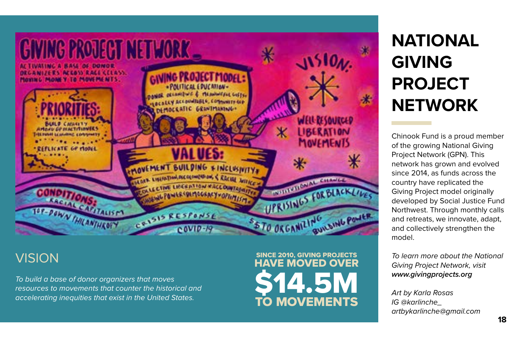

*To build a base of donor organizers that moves resources to movements that counter the historical and accelerating inequities that exist in the United States.*

## VISION SINCE 2010, GIVING PROJECTS HAVE MOVED OVER **\$14.5M** TO MOVEMENTS

# **NATIONAL GIVING PROJECT NETWORK**

Chinook Fund is a proud member of the growing National Giving Project Network (GPN). This network has grown and evolved since 2014, as funds across the country have replicated the Giving Project model originally developed by Social Justice Fund Northwest. Through monthly calls and retreats, we innovate, adapt, and collectively strengthen the model.

*To learn more about the National Giving Project Network, visit www.givingprojects.org*

*Art by Karla Rosas IG @karlinche\_ artbykarlinche@gmail.com*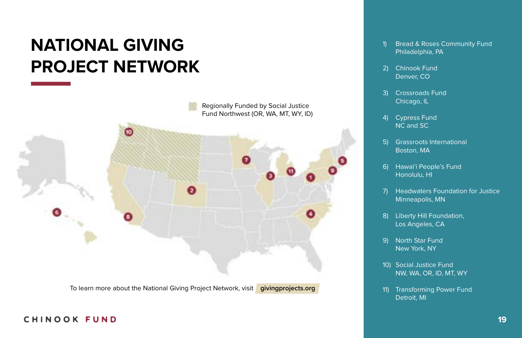## **NATIONAL GIVING PROJECT NETWORK**



To learn more about the National Giving Project Network, visit **givingprojects.org**

- Bread & Roses Community Fund Philadelphia, PA 1)
- Chinook Fund Denver, CO 2)
- Crossroads Fund Chicago, IL 3)
- Cypress Fund NC and SC 4)
- Grassroots International Boston, MA 5)
- 6) Hawai'i People's Fund Honolulu, HI
- Headwaters Foundation for Justice Minneapolis, MN 7)
- Liberty Hill Foundation, Los Angeles, CA 8)
- 9) North Star Fund New York, NY
- 10) Social Justice Fund NW, WA, OR, ID, MT, WY
- 11) Transforming Power Fund Detroit, MI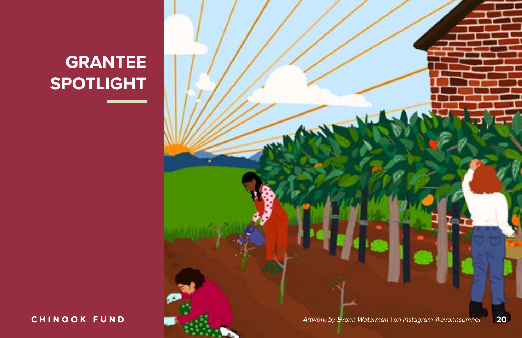## CHINOOK FUND

*Artwork by Evann Waterman | on Instagram @evannsumner* **20**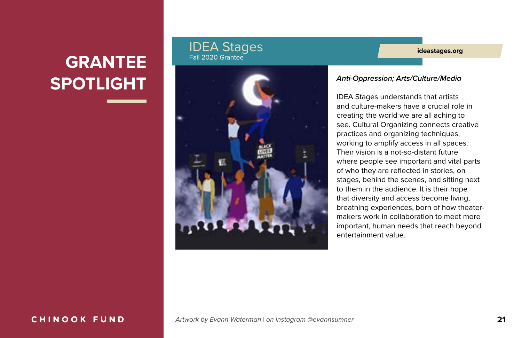#### IDEA Stages Fall 2020 Grantee



#### **ideastages.org**

#### *Anti-Oppression; Arts/Culture/Media*

IDEA Stages understands that artists and culture-makers have a crucial role in creating the world we are all aching to see. Cultural Organizing connects creative practices and organizing techniques; working to amplify access in all spaces. Their vision is a not-so-distant future where people see important and vital parts of who they are reflected in stories, on stages, behind the scenes, and sitting next to them in the audience. It is their hope that diversity and access become living, breathing experiences, born of how theatermakers work in collaboration to meet more important, human needs that reach beyond entertainment value.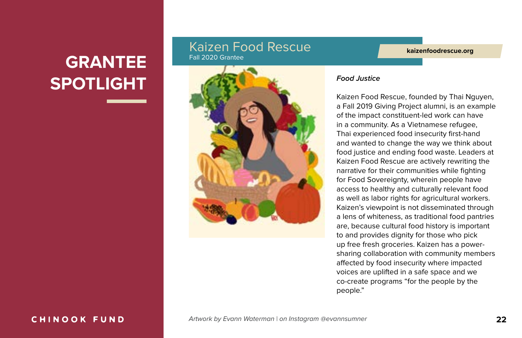#### Kaizen Food Rescue Fall 2020 Grantee

**kaizenfoodrescue.org**



#### *Food Justice*

Kaizen Food Rescue, founded by Thai Nguyen, a Fall 2019 Giving Project alumni, is an example of the impact constituent-led work can have in a community. As a Vietnamese refugee, Thai experienced food insecurity first-hand and wanted to change the way we think about food justice and ending food waste. Leaders at Kaizen Food Rescue are actively rewriting the narrative for their communities while fighting for Food Sovereignty, wherein people have access to healthy and culturally relevant food as well as labor rights for agricultural workers. Kaizen's viewpoint is not disseminated through a lens of whiteness, as traditional food pantries are, because cultural food history is important to and provides dignity for those who pick up free fresh groceries. Kaizen has a powersharing collaboration with community members affected by food insecurity where impacted voices are uplifted in a safe space and we co-create programs "for the people by the people."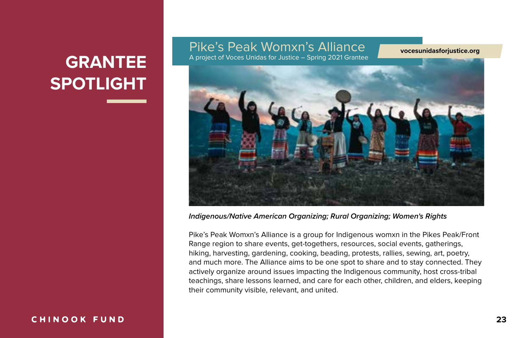## Pike's Peak Womxn's Alliance

A project of Voces Unidas for Justice – Spring 2021 Grantee

**vocesunidasforjustice.org**



#### *Indigenous/Native American Organizing; Rural Organizing; Women's Rights*

Pike's Peak Womxn's Alliance is a group for Indigenous womxn in the Pikes Peak/Front Range region to share events, get-togethers, resources, social events, gatherings, hiking, harvesting, gardening, cooking, beading, protests, rallies, sewing, art, poetry, and much more. The Alliance aims to be one spot to share and to stay connected. They actively organize around issues impacting the Indigenous community, host cross-tribal teachings, share lessons learned, and care for each other, children, and elders, keeping their community visible, relevant, and united.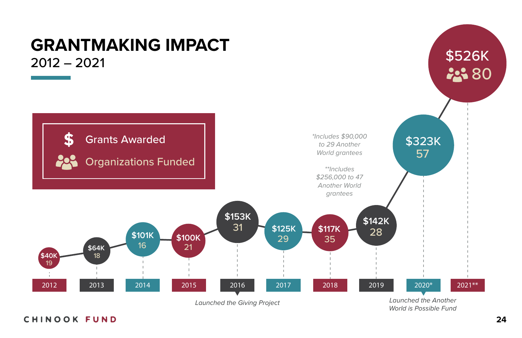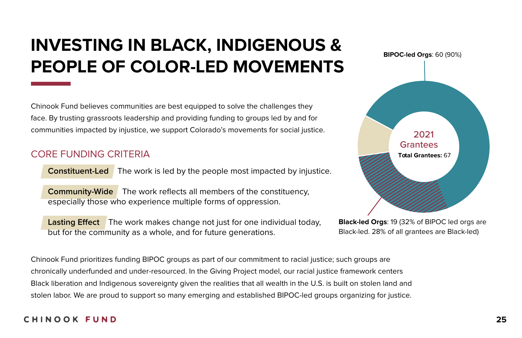## **INVESTING IN BLACK, INDIGENOUS & PEOPLE OF COLOR-LED MOVEMENTS**

Chinook Fund believes communities are best equipped to solve the challenges they face. By trusting grassroots leadership and providing funding to groups led by and for communities impacted by injustice, we support Colorado's movements for social justice.

#### CORE FUNDING CRITERIA

**Constituent-Led** The work is led by the people most impacted by injustice.

**Community-Wide** The work reflects all members of the constituency, especially those who experience multiple forms of oppression.

**Lasting Effect** The work makes change not just for one individual today, but for the community as a whole, and for future generations.



**Black-led Orgs**: 19 (32% of BIPOC led orgs are Black-led. 28% of all grantees are Black-led)

Chinook Fund prioritizes funding BIPOC groups as part of our commitment to racial justice; such groups are chronically underfunded and under-resourced. In the Giving Project model, our racial justice framework centers Black liberation and Indigenous sovereignty given the realities that all wealth in the U.S. is built on stolen land and stolen labor. We are proud to support so many emerging and established BIPOC-led groups organizing for justice.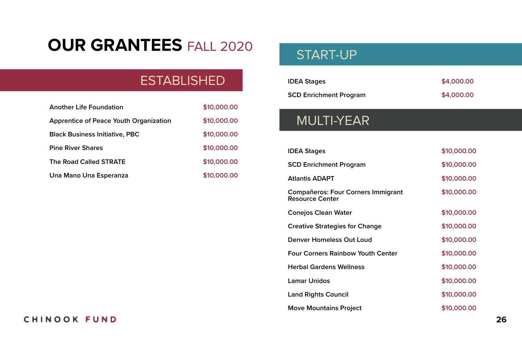## **OUR GRANTEES** FALL 2020

## **ESTABLISHED**

| <b>Another Life Foundation</b>                | \$10,000.00 |
|-----------------------------------------------|-------------|
| <b>Apprentice of Peace Youth Organization</b> | \$10,000.00 |
| <b>Black Business Initiative, PBC</b>         | \$10,000.00 |
| <b>Pine River Shares</b>                      | \$10,000.00 |
| The Road Called STRATE                        | \$10,000.00 |
| Una Mano Una Esperanza                        | \$10,000.00 |

## START-UP

| <b>IDEA Stages</b>            | \$4,000.00 |
|-------------------------------|------------|
| <b>SCD Enrichment Program</b> | \$4,000.00 |

## MULTI-YEAR

| <b>IDEA Stages</b>                                                  | \$10,000.00 |
|---------------------------------------------------------------------|-------------|
| <b>SCD Enrichment Program</b>                                       | \$10,000.00 |
| <b>Atlantis ADAPT</b>                                               | \$10,000.00 |
| <b>Compañeros: Four Corners Immigrant</b><br><b>Resource Center</b> | \$10,000.00 |
| <b>Conejos Clean Water</b>                                          | \$10,000.00 |
| <b>Creative Strategies for Change</b>                               | \$10,000.00 |
| Denver Homeless Out Loud                                            | \$10,000.00 |
| <b>Four Corners Rainbow Youth Center</b>                            | \$10,000.00 |
| <b>Herbal Gardens Wellness</b>                                      | \$10,000.00 |
| <b>Lamar Unidos</b>                                                 | \$10,000.00 |
| <b>Land Rights Council</b>                                          | \$10,000.00 |
| <b>Move Mountains Project</b>                                       | \$10,000.00 |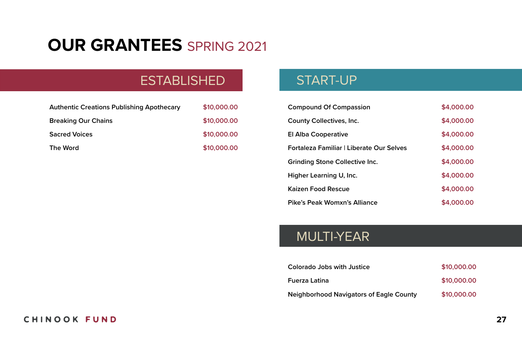## **OUR GRANTEES** SPRING 2021

## **ESTABLISHED**

| <b>Authentic Creations Publishing Apothecary</b> | \$10,000.00 |
|--------------------------------------------------|-------------|
| <b>Breaking Our Chains</b>                       | \$10,000.00 |
| <b>Sacred Voices</b>                             | \$10,000.00 |
| The Word                                         | \$10,000.00 |

## START-UP

| <b>Compound Of Compassion</b>            | \$4,000.00 |
|------------------------------------------|------------|
| County Collectives, Inc.                 | \$4,000.00 |
| El Alba Cooperative                      | \$4,000.00 |
| Fortaleza Familiar   Liberate Our Selves | \$4,000.00 |
| Grinding Stone Collective Inc.           | \$4,000.00 |
| Higher Learning U, Inc.                  | \$4,000.00 |
| Kaizen Food Rescue                       | \$4,000.00 |
| Pike's Peak Womxn's Alliance             | \$4,000.00 |

## MULTI-YEAR

| Colorado Jobs with Justice                     | \$10,000.00 |
|------------------------------------------------|-------------|
| Fuerza Latina                                  | \$10,000.00 |
| <b>Neighborhood Navigators of Eagle County</b> | \$10,000.00 |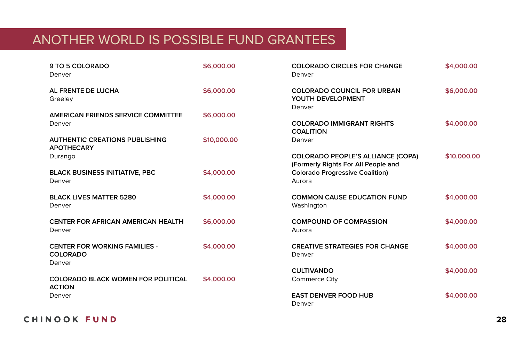## ANOTHER WORLD IS POSSIBLE FUND GRANTEES

| 9 TO 5 COLORADO<br>Denver                                         | \$6,000.00  | <b>COLORADO CIRCLES FOR CHANGE</b><br>Denver                                    |             |
|-------------------------------------------------------------------|-------------|---------------------------------------------------------------------------------|-------------|
| AL FRENTE DE LUCHA<br>Greeley                                     | \$6,000.00  | <b>COLORADO COUNCIL FOR URBAN</b><br>YOUTH DEVELOPMENT<br>Denver                | \$6,000.00  |
| <b>AMERICAN FRIENDS SERVICE COMMITTEE</b><br>Denver               | \$6,000.00  | <b>COLORADO IMMIGRANT RIGHTS</b><br><b>COALITION</b>                            | \$4,000.00  |
| <b>AUTHENTIC CREATIONS PUBLISHING</b><br><b>APOTHECARY</b>        | \$10,000.00 | Denver                                                                          |             |
| Durango                                                           |             | <b>COLORADO PEOPLE'S ALLIANCE (COPA)</b><br>(Formerly Rights For All People and | \$10,000.00 |
| <b>BLACK BUSINESS INITIATIVE, PBC</b><br>Denver                   | \$4,000.00  | <b>Colorado Progressive Coalition)</b><br>Aurora                                |             |
| <b>BLACK LIVES MATTER 5280</b><br>Denver                          | \$4,000.00  | <b>COMMON CAUSE EDUCATION FUND</b><br>Washington                                | \$4,000.00  |
| <b>CENTER FOR AFRICAN AMERICAN HEALTH</b><br>Denver               | \$6,000.00  | <b>COMPOUND OF COMPASSION</b><br>Aurora                                         | \$4,000.00  |
| <b>CENTER FOR WORKING FAMILIES -</b><br><b>COLORADO</b><br>Denver | \$4,000.00  | <b>CREATIVE STRATEGIES FOR CHANGE</b><br>Denver                                 | \$4,000.00  |
| <b>COLORADO BLACK WOMEN FOR POLITICAL</b>                         | \$4,000.00  | <b>CULTIVANDO</b><br>Commerce City                                              | \$4,000.00  |
| <b>ACTION</b><br>Denver                                           |             | <b>EAST DENVER FOOD HUB</b>                                                     | \$4,000.00  |
|                                                                   |             | Denver                                                                          |             |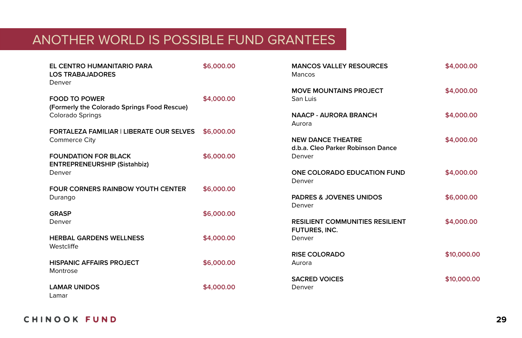## ANOTHER WORLD IS POSSIBLE FUND GRANTEES

| EL CENTRO HUMANITARIO PARA<br><b>LOS TRABAJADORES</b><br>Denver | \$6,000.00 | <b>MANCOS VALLEY RESOURCES</b><br>Mancos | \$4,000.00  |
|-----------------------------------------------------------------|------------|------------------------------------------|-------------|
|                                                                 |            | <b>MOVE MOUNTAINS PROJECT</b>            | \$4,000.00  |
| <b>FOOD TO POWER</b>                                            | \$4,000.00 | San Luis                                 |             |
| (Formerly the Colorado Springs Food Rescue)                     |            |                                          |             |
| Colorado Springs                                                |            | <b>NAACP - AURORA BRANCH</b>             | \$4,000.00  |
|                                                                 |            | Aurora                                   |             |
| <b>FORTALEZA FAMILIAR   LIBERATE OUR SELVES</b>                 | \$6,000.00 |                                          |             |
| <b>Commerce City</b>                                            |            | <b>NEW DANCE THEATRE</b>                 | \$4,000.00  |
|                                                                 |            | d.b.a. Cleo Parker Robinson Dance        |             |
| <b>FOUNDATION FOR BLACK</b>                                     | \$6,000.00 | Denver                                   |             |
| <b>ENTREPRENEURSHIP (Sistahbiz)</b>                             |            |                                          |             |
| Denver                                                          |            | ONE COLORADO EDUCATION FUND<br>Denver    | \$4,000.00  |
| <b>FOUR CORNERS RAINBOW YOUTH CENTER</b>                        | \$6,000.00 |                                          |             |
| Durango                                                         |            | <b>PADRES &amp; JOVENES UNIDOS</b>       | \$6,000.00  |
|                                                                 |            | Denver                                   |             |
| <b>GRASP</b>                                                    | \$6,000.00 |                                          |             |
| Denver                                                          |            | <b>RESILIENT COMMUNITIES RESILIENT</b>   | \$4,000.00  |
|                                                                 |            | FUTURES, INC.                            |             |
| <b>HERBAL GARDENS WELLNESS</b>                                  | \$4,000.00 | Denver                                   |             |
| Westcliffe                                                      |            |                                          |             |
|                                                                 |            | <b>RISE COLORADO</b>                     | \$10,000,00 |
| <b>HISPANIC AFFAIRS PROJECT</b>                                 | \$6,000.00 | Aurora                                   |             |
| Montrose                                                        |            |                                          |             |
|                                                                 |            | <b>SACRED VOICES</b>                     | \$10,000,00 |
| <b>LAMAR UNIDOS</b>                                             | \$4,000.00 | Denver                                   |             |
| l amar                                                          |            |                                          |             |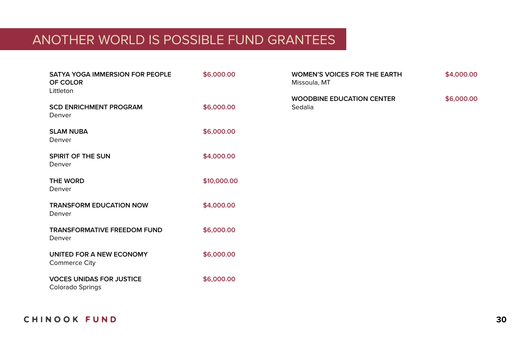## ANOTHER WORLD IS POSSIBLE FUND GRANTEES

| SATYA YOGA IMMERSION FOR PEOPLE<br>OF COLOR<br>Littleton | \$6,000.00  | <b>WOMEN'S VOICES FOR THE EARTH</b><br>Missoula, MT | \$4,000.00 |
|----------------------------------------------------------|-------------|-----------------------------------------------------|------------|
| <b>SCD ENRICHMENT PROGRAM</b><br>Denver                  | \$6,000.00  | <b>WOODBINE EDUCATION CENTER</b><br>Sedalia         | \$6,000.00 |
| <b>SLAM NUBA</b><br>Denver                               | \$6,000.00  |                                                     |            |
| SPIRIT OF THE SUN<br>Denver                              | \$4,000.00  |                                                     |            |
| <b>THE WORD</b><br>Denver                                | \$10,000.00 |                                                     |            |
| <b>TRANSFORM EDUCATION NOW</b><br>Denver                 | \$4,000.00  |                                                     |            |
| <b>TRANSFORMATIVE FREEDOM FUND</b><br>Denver             | \$6,000.00  |                                                     |            |
| UNITED FOR A NEW ECONOMY<br><b>Commerce City</b>         | \$6,000.00  |                                                     |            |
| <b>VOCES UNIDAS FOR JUSTICE</b><br>Colorado Springs      | \$6,000.00  |                                                     |            |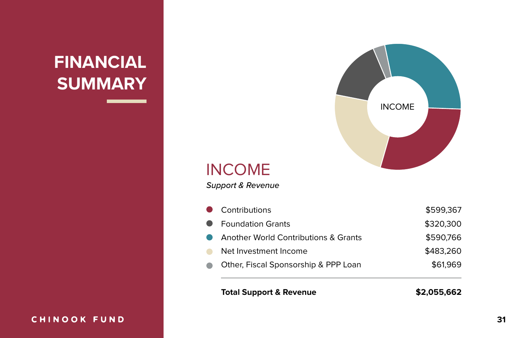## **FINANCIAL SUMMARY**

## CHINOOK FUND



## INCOME

*Support & Revenue*

|                          | • Contributions                                 | \$599,367 |
|--------------------------|-------------------------------------------------|-----------|
|                          | • Foundation Grants                             | \$320,300 |
| $\bullet$                | <b>Another World Contributions &amp; Grants</b> | \$590.766 |
| $\overline{\phantom{a}}$ | Net Investment Income                           | \$483,260 |
|                          | Other, Fiscal Sponsorship & PPP Loan            | \$61,969  |
|                          |                                                 |           |

#### **Total Support & Revenue**

**\$2,055,662**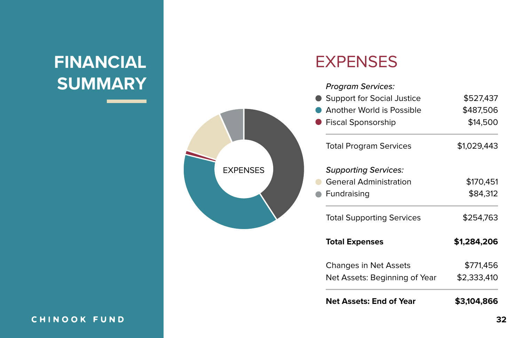# **FINANCIAL** EXPENSES **SUMMARY**



#### *Program Services:*

| <b>Net Assets: End of Year</b>    | \$3,104,866 |
|-----------------------------------|-------------|
| Net Assets: Beginning of Year     | \$2,333,410 |
| Changes in Net Assets             | \$771,456   |
| <b>Total Expenses</b>             | \$1,284,206 |
| <b>Total Supporting Services</b>  | \$254,763   |
| Fundraising                       | \$84,312    |
| <b>General Administration</b>     | \$170,451   |
| <b>Supporting Services:</b>       |             |
| <b>Total Program Services</b>     | \$1,029,443 |
| <b>Fiscal Sponsorship</b>         | \$14,500    |
| Another World is Possible         | \$487,506   |
| <b>Support for Social Justice</b> | \$527,437   |